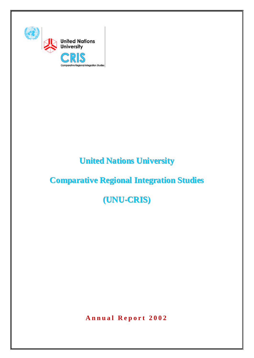

# **United Nations University**

# **Comparative Regional Integration Studies**

# **(UNU-CRIS)**

**Annual Report 2002**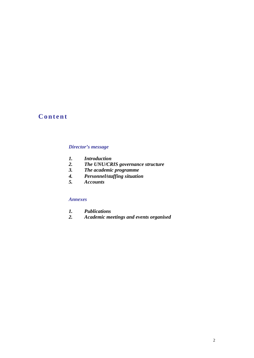# **Content**

#### *Director's message*

- *1. Introduction*
- *2. The UNU/CRIS governance structure*
- *3. The academic programme*
- *4. Personnel/staffing situation*
- *5. Accounts*

#### *Annexes*

- *1. Publications*
- *2. Academic meetings and events organised*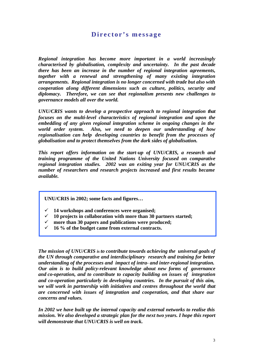# **Director's message**

*Regional integration has become more important in a world increasingly characterised by globalisation, complexity and uncertainty. In the past decade there has been an increase in the number of regional integration agreements, together with a renewal and strengthening of many existing integration arrangements. Regional integration is no longer concerned with trade but also with cooperation along different dimensions such as culture, politics, security and diplomacy. Therefore, we can see that regionalism presents new challenges to governance models all over the world.*

*UNU/CRIS wants to develop a prospective approach to regional integration that focuses on the multi-level characteristics of regional integration and upon the embedding of any given regional integration scheme in ongoing changes in the world order system. Also, we need to deepen our understanding of how regionalisation can help developing countries to benefit from the processes of globalisation and to protect themselves from the dark sides of globalisation.*

*This report offers information on the start-up of UNU/CRIS, a research and training programme of the United Nations University focused on comparative regional integration studies. 2002 was an exiting year for UNU/CRIS as the number of researchers and research projects increased and first results became available.*

**UNU/CRIS in 2002; some facts and figures…**

- ¸ **14 workshops and conferences were organised;**
- ¸ **10 projects in collaboration with more than 30 partners started;**
- more than 30 papers and publications were produced;
- ¸ **16 % of the budget came from external contracts.**

*The mission of UNU/CRIS is to contribute towards achieving the universal goals of the UN through comparative and interdisciplinary research and training for better understanding of the processes and impact of intra- and inter-regional integration. Our aim is to build policy-relevant knowledge about new forms of governance and co-operation, and to contribute to capacity building on issues of integration and co-operation particularly in developing countries. In the pursuit of this aim, we will work in partnership with initiatives and centres throughout the world that are concerned with issues of integration and cooperation, and that share our concerns and values.* 

*In 2002 we have built up the internal capacity and external networks to realise this mission. We also developed a strategic plan for the next two years. I hope this report will demonstrate that UNU/CRIS is well on track.*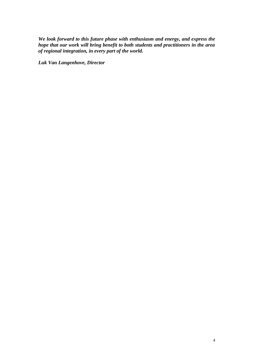*We look forward to this future phase with enthusiasm and energy, and express the hope that our work will bring benefit to both students and practitioners in the area of regional integration, in every part of the world.*

*Luk Van Langenhove, Director*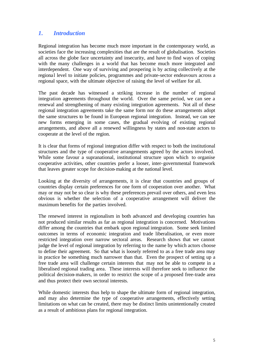# *1. Introduction*

Regional integration has become much more important in the contemporary world, as societies face the increasing complexities that are the result of globalisation. Societies all across the globe face uncertainty and insecurity, and have to find ways of coping with the many challenges in a world that has become much more integrated and interdependent. One way of surviving and prospering is by acting collectively at the regional level to initiate policies, programmes and private-sector endeavours across a regional space, with the ultimate objective of raising the level of welfare for all.

The past decade has witnessed a striking increase in the number of regional integration agreements throughout the world. Over the same period, we can see a renewal and strengthening of many existing integration agreements. Not all of these regional integration agreements take the same form nor do these arrangements adopt the same structures to be found in European regional integration. Instead, we can see new forms emerging in some cases, the gradual evolving of existing regional arrangements, and above all a renewed willingness by states and non-state actors to cooperate at the level of the region.

It is clear that forms of regional integration differ with respect to both the institutional structures and the type of cooperative arrangements agreed by the actors involved. While some favour a supranational, institutional structure upon which to organise cooperative activities, other countries prefer a looser, inter-governmental framework that leaves greater scope for decision-making at the national level.

Looking at the diversity of arrangements, it is clear that countries and groups of countries display certain preferences for one form of cooperation over another. What may or may not be so clear is why these preferences prevail over others, and even less obvious is whether the selection of a cooperative arrangement will deliver the maximum benefits for the parties involved.

The renewed interest in regionalism in both advanced and developing countries has not produced similar results as far as regional integration is concerned. Motivations differ among the countries that embark upon regional integration. Some seek limited outcomes in terms of economic integration and trade liberalisation, or even more restricted integration over narrow sectoral areas. Research shows that we cannot judge the level of regional integration by referring to the name by which actors choose to define their agreement. So that what is loosely referred to as a free trade area may in practice be something much narrower than that. Even the prospect of setting up a free trade area will challenge certain interests that may not be able to compete in a liberalised regional trading area. These interests will therefore seek to influence the political decision-makers, in order to restrict the scope of a proposed free-trade area and thus protect their own sectoral interests.

While domestic interests thus help to shape the ultimate form of regional integration, and may also determine the type of cooperative arrangements, effectively setting limitations on what can be created, there may be distinct limits unintentionally created as a result of ambitious plans for regional integration.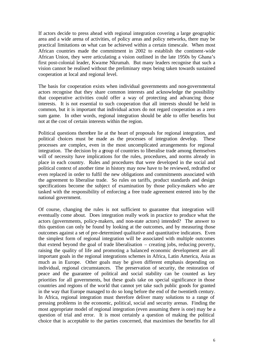If actors decide to press ahead with regional integration covering a large geographic area and a wide arena of activities, of policy areas and policy networks, there may be practical limitations on what can be achieved within a certain timescale. When most African countries made the commitment in 2002 to establish the continent-wide African Union, they were articulating a vision outlined in the late 1950s by Ghana's first post-colonial leader, Kwame Nkrumah. But many leaders recognise that such a vision cannot be realised without the preliminary steps being taken towards sustained cooperation at local and regional level.

The basis for cooperation exists when individual governments and non-governmental actors recognise that they share common interests and acknowledge the possibility that cooperative activities could offer a way of protecting and advancing those interests. It is not essential to such cooperation that all interests should be held in common, but it is important that individual actors do not regard cooperation as a zero sum game. In other words, regional integration should be able to offer benefits but not at the cost of certain interests within the region.

Political questions therefore lie at the heart of proposals for regional integration, and political choices must be made as the processes of integration develop. These processes are complex, even in the most uncomplicated arrangements for regional integration. The decision by a group of countries to liberalise trade among themselves will of necessity have implications for the rules, procedures, and norms already in place in each country. Rules and procedures that were developed in the social and political context of another time in history may now have to be reviewed, redrafted or even replaced in order to fulfil the new obligations and commitments associated with the agreement to liberalise trade. So rules on tariffs, product standards and design specifications become the subject of examination by those policy-makers who are tasked with the responsibility of enforcing a free trade agreement entered into by the national government.

Of course, changing the rules is not sufficient to guarantee that integration will eventually come about. Does integration really work in practice to produce what the actors (governments, policy-makers, and non-state actors) intended? The answer to this question can only be found by looking at the outcomes, and by measuring those outcomes against a set of pre-determined qualitative and quantitative indicators. Even the simplest form of regional integration will be associated with multiple outcomes that extend beyond the goal of trade liberalisation – creating jobs, reducing poverty, raising the quality of life and promoting a balanced economic development are all important goals in the regional integrations schemes in Africa, Latin America, Asia as much as in Europe. Other goals may be given different emphasis depending on individual, regional circumstances. The preservation of security, the restoration of peace and the guarantee of political and social stability can be counted as key priorities for all governments, but these goals take on special significance in those countries and regions of the world that cannot yet take such public goods for granted in the way that Europe managed to do so long before the end of the twentieth century. In Africa, regional integration must therefore deliver many solutions to a range of pressing problems in the economic, political, social and security arenas. Finding the most appropriate model of regional integration (even assuming there is one) may be a question of trial and error. It is most certainly a question of making the political choice that is acceptable to the parties concerned, that maximises the benefits for all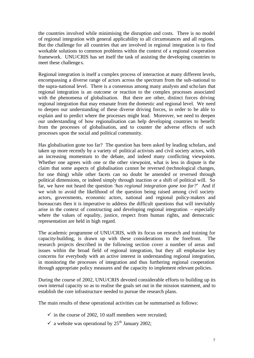the countries involved while minimising the disruption and costs. There is no model of regional integration with general applicability to all circumstances and all regions. But the challenge for all countries that are involved in regional integration is to find workable solutions to common problems within the context of a regional cooperation framework. UNU/CRIS has set itself the task of assisting the developing countries to meet these challenge s.

Regional integration is itself a complex process of interaction at many different levels, encompassing a diverse range of actors across the spectrum from the sub-national to the supra-national level. There is a consensus among many analysts and scholars that regional integration is an outcome or reaction to the complex processes associated with the phenomena of globalisation. But there are other, distinct forces driving regional integration that may emanate from the domestic and regional level. We need to deepen our understanding of these diverse driving forces, in order to be able to explain and to predict where the processes might lead. Moreover, we need to deepen our understanding of how regionalisation can help developing countries to benefit from the processes of globalisation, and to counter the adverse effects of such processes upon the social and political community.

Has globalisation gone too far? The question has been asked by leading scholars, and taken up more recently by a variety of political activists and civil society actors, with an increasing momentum to the debate, and indeed many conflicting viewpoints. Whether one agrees with one or the other viewpoint, what is less in dispute is the claim that some aspects of globalisation cannot be reversed (technological changes, for one thing) while other facets can no doubt be amended or reversed through political dimensions, or indeed simply through inaction or a shift of political will. So far, we have not heard the question '*has regional integration gone too far?*' And if we wish to avoid the likelihood of the question being raised among civil society actors, governments, economic actors, national and regional policy-makers and bureaucrats then it is imperative to address the difficult questions that will inevitably arise in the context of constructing and developing regional integration – especially where the values of equality, justice, respect from human rights, and democratic representation are held in high regard.

The academic programme of UNU/CRIS, with its focus on research and training for capacity-building, is drawn up with these considerations to the forefront. The research projects described in the following section cover a number of areas and issues within the broad field of regional integration, but they all emphasise key concerns for everybody with an active interest in understanding regional integration, in monitoring the processes of integration and thus furthering regional cooperation through appropriate policy measures and the capacity to implement relevant policies.

During the course of 2002, UNU/CRIS devoted considerable efforts to building up its own internal capacity so as to realise the goals set out in the mission statement, and to establish the core infrastructure needed to pursue the research plans.

The main results of these operational activities can be summarised as follows:

- $\checkmark$  in the course of 2002, 10 staff members were recruited;
- $\checkmark$  a website was operational by 25<sup>th</sup> January 2002;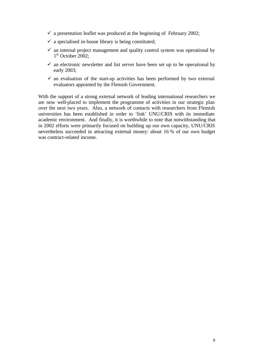- $\checkmark$  a presentation leaflet was produced at the beginning of February 2002;
- $\checkmark$  a specialised in-house library is being constituted;
- $\checkmark$  an internal project management and quality control system was operational by 1<sup>st</sup> October 2002;
- $\checkmark$  an electronic newsletter and list server have been set up to be operational by early 2003;
- $\checkmark$  an evaluation of the start-up activities has been performed by two external evaluators appointed by the Flemish Government.

With the support of a strong external network of leading international researchers we are now well-placed to implement the programme of activities in our strategic plan over the next two years. Also, a network of contacts with researchers from Flemish universities has been established in order to 'link' UNU/CRIS with its immediate academic environment. And finally, it is worthwhile to note that notwithstanding that in 2002 efforts were primarily focused on building up our own capacity, UNU/CRIS nevertheless succeeded in attracting external money: about 16 % of our own budget was contract-related income.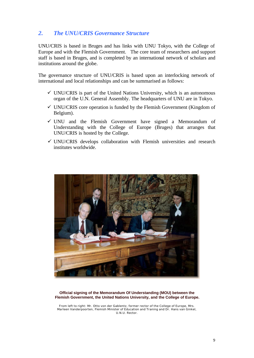## *2. The UNU/CRIS Governance Structure*

UNU/CRIS is based in Bruges and has links with UNU Tokyo, with the College of Europe and with the Flemish Government. The core team of researchers and support staff is based in Bruges, and is completed by an international network of scholars and institutions around the globe.

The governance structure of UNU/CRIS is based upon an interlocking network of international and local relationships and can be summarised as follows:

- $\checkmark$  UNU/CRIS is part of the United Nations University, which is an autonomous organ of the U.N. General Assembly. The headquarters of UNU are in Tokyo.
- $\checkmark$  UNU/CRIS core operation is funded by the Flemish Government (Kingdom of Belgium).
- $\checkmark$  UNU and the Flemish Government have signed a Memorandum of Understanding with the College of Europe (Bruges) that arranges that UNU/CRIS is hosted by the College.
- $\checkmark$  UNU/CRIS develops collaboration with Flemish universities and research institutes worldwide.



#### **Official signing of the Memorandum Of Understanding (MOU) between the Flemish Government, the United Nations University, and the College of Europe.**

From left to right: Mr. Otto von der Gablentz, former rector of the College of Europe, Mrs. Marleen Vanderpoorten, Flemish Minister of Education and Traning and Dr. Hans van Ginkel, U.N.U. Rector.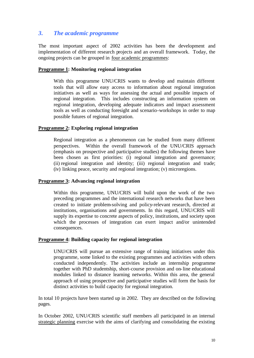## *3. The academic programme*

The most important aspect of 2002 activities has been the development and implementation of different research projects and an overall framework. Today, the ongoing projects can be grouped in four academic programmes:

#### **Programme 1: Monitoring regional integration**

With this programme UNU/CRIS wants to develop and maintain different tools that will allow easy access to information about regional integration initiatives as well as ways for assessing the actual and possible impacts of regional integration. This includes constructing an information system on regional integration, developing adequate indicators and impact assessment tools as well as conducting foresight and scenario-workshops in order to map possible futures of regional integration.

#### **Programme 2: Exploring regional integration**

Regional integration as a phenomenon can be studied from many different perspectives. Within the overall framework of the UNU/CRIS approach (emphasis on prospective and participative studies) the following themes have been chosen as first priorities: (i) regional integration and governance; (ii) regional integration and identity; (iii) regional integration and trade; (iv) linking peace, security and regional integration; (v) microregions.

#### **Programme 3: Advancing regional integration**

Within this programme, UNU/CRIS will build upon the work of the two preceding programmes and the international research networks that have been created to initiate problem-solving and policy-relevant research, directed at institutions, organisations and governments. In this regard, UNU/CRIS will supply its expertise to concrete aspects of policy, institutions, and society upon which the processes of integration can exert impact and/or unintended consequences.

#### **Programme 4: Building capacity for regional integration**

UNU/CRIS will pursue an extensive range of training initiatives under this programme, some linked to the existing programmes and activities with others conducted independently. The activities include an internship programme together with PhD studentship, short-course provision and on-line educational modules linked to distance learning networks. Within this area, the general approach of using prospective and participative studies will form the basis for distinct activities to build capacity for regional integration.

In total 10 projects have been started up in 2002. They are described on the following pages.

In October 2002, UNU/CRIS scientific staff members all participated in an internal strategic planning exercise with the aims of clarifying and consolidating the existing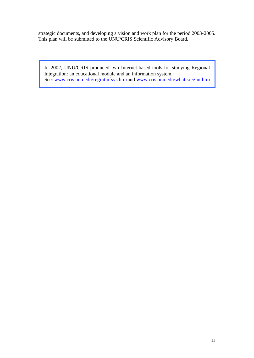strategic documents, and developing a vision and work plan for the period 2003-2005. This plan will be submitted to the UNU/CRIS Scientific Advisory Board.

In 2002, UNU/CRIS produced two Internet-based tools for studying Regional Integration: an educational module and an information system. See: www.cris.unu.edu/regintinfsys.htm and www.cris.unu.edu/whatisregint.htm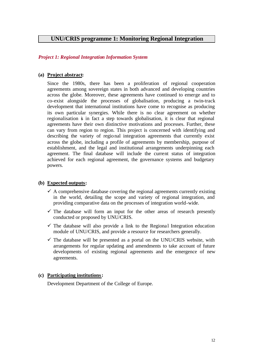### **UNU/CRIS programme 1: Monitoring Regional Integration**

#### *Project 1: Regional Integration Information System*

#### **(a) Project abstract:**

Since the 1980s, there has been a proliferation of regional cooperation agreements among sovereign states in both advanced and developing countries across the globe. Moreover, these agreements have continued to emerge and to co-exist alongside the processes of globalisation, producing a twin-track development that international institutions have come to recognise as producing its own particular synergies. While there is no clear agreement on whether regionalisation is in fact a step towards globalisation, it is clear that regional agreements have their own distinctive motivations and processes. Further, these can vary from region to region. This project is concerned with identifying and describing the variety of regional integration agreements that currently exist across the globe, including a profile of agreements by membership, purpose of establishment, and the legal and institutional arrangements underpinning each agreement. The final database will include the current status of integration achieved for each regional agreement, the governance systems and budgetary powers.

#### **(b) Expected outputs:**

- $\checkmark$  A comprehensive database covering the regional agreements currently existing in the world, detailing the scope and variety of regional integration, and providing comparative data on the processes of integration world-wide.
- $\checkmark$  The database will form an input for the other areas of research presently conducted or proposed by UNU/CRIS.
- $\checkmark$  The database will also provide a link to the Regional Integration education module of UNU/CRIS, and provide a resource for researchers generally.
- $\checkmark$  The database will be presented as a portal on the UNU/CRIS website, with arrangements for regular updating and amendments to take account of future developments of existing regional agreements and the emergence of new agreements.

#### **(c) Participating institutions:**

Development Department of the College of Europe.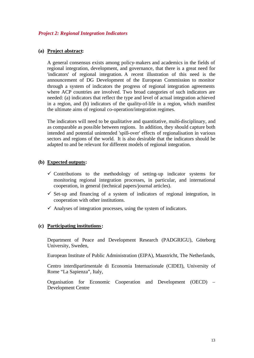#### **(a) Project abstract:**

A general consensus exists among policy-makers and academics in the fields of regional integration, development, and governance, that there is a great need for 'indicators' of regional integration. A recent illustration of this need is the announcement of DG Development of the European Commission to monitor through a system of indicators the progress of regional integration agreements where ACP countries are involved. Two broad categories of such indicators are needed: (a) indicators that reflect the type and level of actual integration achieved in a region, and (b) indicators of the quality-of-life in a region, which manifest the ultimate aims of regional co-operation/integration regimes.

The indicators will need to be qualitative and quantitative, multi-disciplinary, and as comparable as possible between regions. In addition, they should capture both intended and potential unintended 'spill-over' effects of regionalisation in various sectors and regions of the world. It is also desirable that the indicators should be adapted to and be relevant for different models of regional integration.

#### **(b) Expected outputs:**

- $\checkmark$  Contributions to the methodology of setting-up indicator systems for monitoring regional integration processes, in particular, and international cooperation, in general (technical papers/journal articles).
- $\checkmark$  Set-up and financing of a system of indicators of regional integration, in cooperation with other institutions.
- $\checkmark$  Analyses of integration processes, using the system of indicators.

#### **(c) Participating institutions:**

Department of Peace and Development Research (PADGRIGU), Göteborg University, Sweden,

European Institute of Public Administration (EIPA), Maastricht, The Netherlands,

Centro interdipartimentale di Economia Internazionale (CIDEI), University of Rome "La Sapienza", Italy,

Organisation for Economic Cooperation and Development (OECD) – Development Centre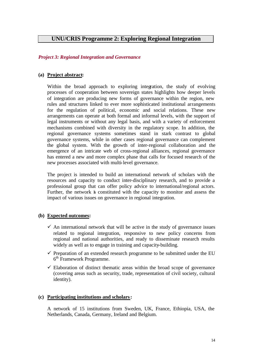### **UNU/CRIS Programme 2: Exploring Regional Integration**

#### *Project 3: Regional Integration and Governance*

#### **(a) Project abstract:**

Within the broad approach to exploring integration, the study of evolving processes of cooperation between sovereign states highlights how deeper levels of integration are producing new forms of governance within the region, new rules and structures linked to ever more sophisticated institutional arrangements for the regulation of political, economic and social relations. These new arrangements can operate at both formal and informal levels, with the support of legal instruments or without any legal basis, and with a variety of enforcement mechanisms combined with diversity in the regulatory scope. In addition, the regional governance systems sometimes stand in stark contrast to global governance systems, while in other cases regional governance can complement the global system. With the growth of inter-regional collaboration and the emergence of an intricate web of cross-regional alliances, regional governance has entered a new and more complex phase that calls for focused research of the new processes associated with multi-level governance.

The project is intended to build an international network of scholars with the resources and capacity to conduct inter-disciplinary research, and to provide a professional group that can offer policy advice to international/regional actors. Further, the network is constituted with the capacity to monitor and assess the impact of various issues on governance in regional integration.

#### **(b) Expected outcomes:**

- $\checkmark$  An international network that will be active in the study of governance issues related to regional integration, responsive to new policy concerns from regional and national authorities, and ready to disseminate research results widely as well as to engage in training and capacity-building.
- $\checkmark$  Preparation of an extended research programme to be submitted under the EU 6<sup>th</sup> Framework Programme.
- $\checkmark$  Elaboration of distinct thematic areas within the broad scope of governance (covering areas such as security, trade, representation of civil society, cultural identity).

#### **(c) Participating institutions and scholars:**

A network of 15 institutions from Sweden, UK, France, Ethiopia, USA, the Netherlands, Canada, Germany, Ireland and Belgium.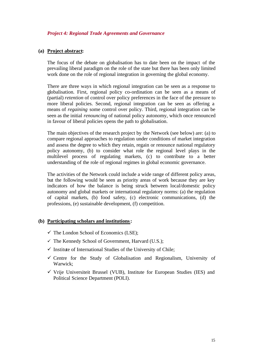#### *Project 4: Regional Trade Agreements and Governance*

#### **(a) Project abstract:**

The focus of the debate on globalisation has to date been on the impact of the prevailing liberal paradigm on the role of the state but there has been only limited work done on the role of regional integration in governing the global economy.

There are three ways in which regional integration can be seen as a response to globalisation. First, regional policy co-ordination can be seen as a means of (partial) *retention* of control over policy preferences in the face of the pressure to more liberal policies. Second, regional integration can be seen as offering a means of *regaining* some control over policy. Third, regional integration can be seen as the initial *renouncing* of national policy autonomy, which once renounced in favour of liberal policies opens the path to globalisation.

The main objectives of the research project by the Network (see below) are: (a) to compare regional approaches to regulation under conditions of market integration and assess the degree to which they retain, regain or renounce national regulatory policy autonomy, (b) to consider what role the regional level plays in the multilevel process of regulating markets, (c) to contribute to a better understanding of the role of regional regimes in global economic governance.

The activities of the Network could include a wide range of different policy areas, but the following would be seen as priority areas of work because they are key indicators of how the balance is being struck between local/domestic policy autonomy and global markets or international regulatory norms: (a) the regulation of capital markets, (b) food safety, (c) electronic communications, (d) the professions, (e) sustainable development, (f) competition.

#### **(b) Participating scholars and institutions:**

- $\checkmark$  The London School of Economics (LSE);
- $\checkmark$  The Kennedy School of Government, Harvard (U.S.);
- $\checkmark$  Institute of International Studies of the University of Chile;
- $\checkmark$  Centre for the Study of Globalisation and Regionalism, University of Warwick;
- $\checkmark$  Vrije Universiteit Brussel (VUB), Institute for European Studies (IES) and Political Science Department (POLI).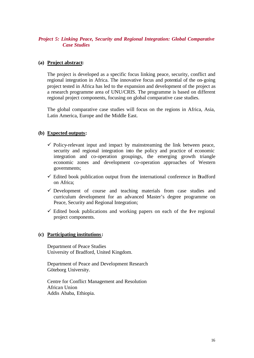### *Project 5: Linking Peace, Security and Regional Integration: Global Comparative Case Studies*

#### **(a) Project abstract:**

The project is developed as a specific focus linking peace, security, conflict and regional integration in Africa. The innovative focus and potential of the on-going project tested in Africa has led to the expansion and development of the project as a research programme area of UNU/CRIS. The programme is based on different regional project components, focusing on global comparative case studies.

The global comparative case studies will focus on the regions in Africa, Asia, Latin America, Europe and the Middle East.

#### **(b) Expected outputs:**

- $\checkmark$  Policy-relevant input and impact by mainstreaming the link between peace, security and regional integration into the policy and practice of economic integration and co-operation groupings, the emerging growth triangle economic zones and development co-operation approaches of Western governments;
- $\checkmark$  Edited book publication output from the international conference in Bradford on Africa;
- $\checkmark$  Development of course and teaching materials from case studies and curriculum development for an advanced Master's degree programme on Peace, Security and Regional Integration;
- $\checkmark$  Edited book publications and working papers on each of the five regional project components.

#### **(c) Participating institutions:**

Department of Peace Studies University of Bradford, United Kingdom.

Department of Peace and Development Research Göteborg University.

Centre for Conflict Management and Resolution African Union Addis Ababa, Ethiopia.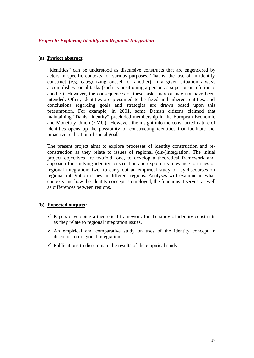#### *Project 6: Exploring Identity and Regional Integration*

#### **(a) Project abstract:**

"Identities" can be understood as discursive constructs that are engendered by actors in specific contexts for various purposes. That is, the use of an identity construct (e.g. categorizing oneself or another) in a given situation always accomplishes social tasks (such as positioning a person as superior or inferior to another). However, the consequences of these tasks may or may not have been intended. Often, identities are presumed to be fixed and inherent entities, and conclusions regarding goals and strategies are drawn based upon this presumption. For example, in 2001, some Danish citizens claimed that maintaining "Danish identity" precluded membership in the European Economic and Monetary Union (EMU). However, the insight into the constructed nature of identities opens up the possibility of constructing identities that facilitate the proactive realisation of social goals.

The present project aims to explore processes of identity construction and reconstruction as they relate to issues of regional (dis-)integration. The initial project objectives are twofold: one, to develop a theoretical framework and approach for studying identity-construction and explore its relevance to issues of regional integration; two, to carry out an empirical study of lay-discourses on regional integration issues in different regions. Analyses will examine in what contexts and how the identity concept is employed, the functions it serves, as well as differences between regions.

#### **(b) Expected outputs:**

- $\checkmark$  Papers developing a theoretical framework for the study of identity constructs as they relate to regional integration issues.
- $\checkmark$  An empirical and comparative study on uses of the identity concept in discourse on regional integration.
- $\checkmark$  Publications to disseminate the results of the empirical study.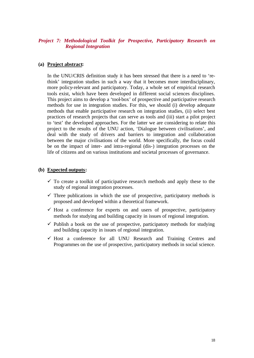#### *Project 7: Methodological Toolkit for Prospective, Participatory Research on Regional Integration*

#### **(a) Project abstract:**

In the UNU/CRIS definition study it has been stressed that there is a need to 'rethink' integration studies in such a way that it becomes more interdisciplinary, more policy-relevant and participatory. Today, a whole set of empirical research tools exist, which have been developed in different social sciences disciplines. This project aims to develop a 'tool-box' of prospective and participative research methods for use in integration studies. For this, we should (i) develop adequate methods that enable participative research on integration studies, (ii) select best practices of research projects that can serve as tools and (iii) start a pilot project to 'test' the developed approaches. For the latter we are considering to relate this project to the results of the UNU action, 'Dialogue between civilisations', and deal with the study of drivers and barriers to integration and collaboration between the major civilisations of the world. More specifically, the focus could be on the impact of inter- and intra-regional (dis-) integration processes on the life of citizens and on various institutions and societal processes of governance.

#### **(b) Expected outputs:**

- $\checkmark$  To create a toolkit of participative research methods and apply these to the study of regional integration processes.
- $\checkmark$  Three publications in which the use of prospective, participatory methods is proposed and developed within a theoretical framework.
- $\checkmark$  Host a conference for experts on and users of prospective, participatory methods for studying and building capacity in issues of regional integration.
- $\checkmark$  Publish a book on the use of prospective, participatory methods for studying and building capacity in issues of regional integration.
- $\checkmark$  Host a conference for all UNU Research and Training Centres and Programmes on the use of prospective, participatory methods in social science.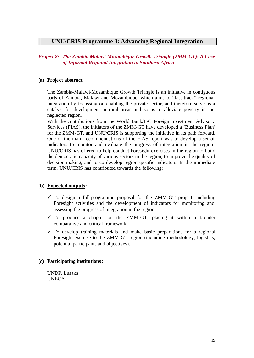### **UNU/CRIS Programme 3: Advancing Regional Integration**

### *Project 8: The Zambia-Malawi-Mozambique Growth Triangle (ZMM-GT): A Case of Informal Regional Integration in Southern Africa*

### **(a) Project abstract:**

The Zambia-Malawi-Mozambique Growth Triangle is an initiative in contiguous parts of Zambia, Malawi and Mozambique, which aims to "fast track" regional integration by focussing on enabling the private sector, and therefore serve as a catalyst for development in rural areas and so as to alleviate poverty in the neglected region.

With the contributions from the World Bank/IFC Foreign Investment Advisory Services (FIAS), the initiators of the ZMM-GT have developed a 'Business Plan' for the ZMM-GT, and UNU/CRIS is supporting the initiative in its path forward. One of the main recommendations of the FIAS report was to develop a set of indicators to monitor and evaluate the progress of integration in the region. UNU/CRIS has offered to help conduct Foresight exercises in the region to build the democratic capacity of various sectors in the region, to improve the quality of decision-making, and to co-develop region-specific indicators. In the immediate term, UNU/CRIS has contributed towards the following:

### **(b) Expected outputs:**

- $\checkmark$  To design a full-programme proposal for the ZMM-GT project, including Foresight activities and the development of indicators for monitoring and assessing the progress of integration in the region.
- $\checkmark$  To produce a chapter on the ZMM-GT, placing it within a broader comparative and critical framework.
- $\checkmark$  To develop training materials and make basic preparations for a regional Foresight exercise to the ZMM-GT region (including methodology, logistics, potential participants and objectives).

### **(c) Participating institutions:**

UNDP, Lusaka **UNECA**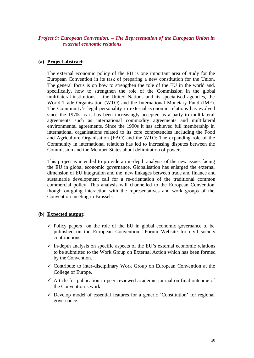#### *Project 9: European Convention. – The Representation of the European Union in external economic relations*

#### **(a) Project abstract:**

The external economic policy of the EU is one important area of study for the European Convention in its task of preparing a new constitution for the Union. The general focus is on how to strengthen the role of the EU in the world and, specifically, how to strengthen the role of the Commission in the global multilateral institutions – the United Nations and its specialised agencies, the World Trade Organisation (WTO) and the International Monetary Fund (IMF). The Community's legal personality in external economic relations has evolved since the 1970s as it has been increasingly accepted as a party to multilateral agreements such as international commodity agreements and multilateral environmental agreements. Since the 1990s it has achieved full membership in international organisations related to its core competencies inc luding the Food and Agriculture Organisation (FAO) and the WTO: The expanding role of the Community in international relations has led to increasing disputes between the Commission and the Member States about delimitation of powers.

This project is intended to provide an in-depth analysis of the new issues facing the EU in global economic governance. Globalisation has enlarged the external dimension of EU integration and the new linkages between trade and finance and sustainable development call for a re-orientation of the traditional common commercial policy. This analysis will channelled to the European Convention though on-going interaction with the representatives and work groups of the Convention meeting in Brussels.

### **(b) Expected output:**

- $\checkmark$  Policy papers on the role of the EU in global economic governance to be published on the European Convention Forum Website for civil society contributions.
- $\checkmark$  In-depth analysis on specific aspects of the EU's external economic relations to be submitted to the Work Group on External Action which has been formed by the Convention.
- $\checkmark$  Contribute to inter-disciplinary Work Group on European Convention at the College of Europe.
- $\checkmark$  Article for publication in peer-reviewed academic journal on final outcome of the Convention's work.
- $\checkmark$  Develop model of essential features for a generic 'Constitution' for regional governance.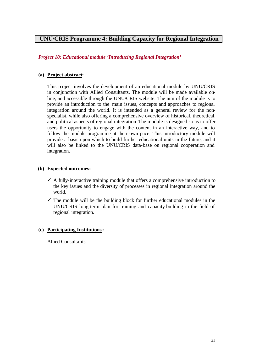# **UNU/CRIS Programme 4: Building Capacity for Regional Integration**

*Project 10: Educational module 'Introducing Regional Integration'*

#### **(a) Project abstract:**

This project involves the development of an educational module by UNU/CRIS in conjunction with Allied Consultants. The module will be made available online, and accessible through the UNU/CRIS website. The aim of the module is to provide an introduction to the main issues, concepts and approaches to regional integration around the world. It is intended as a general review for the nonspecialist, while also offering a comprehensive overview of historical, theoretical, and political aspects of regional integration. The module is designed so as to offer users the opportunity to engage with the content in an interactive way, and to follow the module programme at their own pace. This introductory module will provide a basis upon which to build further educational units in the future, and it will also be linked to the UNU/CRIS data-base on regional cooperation and integration.

#### **(b) Expected outcomes:**

- $\checkmark$  A fully-interactive training module that offers a comprehensive introduction to the key issues and the diversity of processes in regional integration around the world.
- $\checkmark$  The module will be the building block for further educational modules in the UNU/CRIS long-term plan for training and capacity-building in the field of regional integration.

### **(c) Participating Institutions:**

Allied Consultants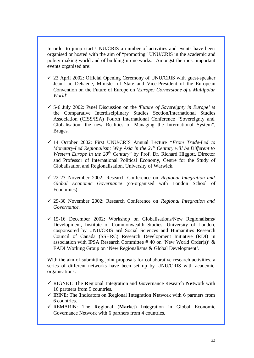In order to jump-start UNU/CRIS a number of activities and events have been organised or hosted with the aim of "promoting" UNU/CRIS in the academic and policy-making world and of building-up networks. Amongst the most important events organised are:

- $\checkmark$  23 April 2002: Official Opening Ceremony of UNU/CRIS with guest-speaker Jean-Luc Dehaene, Minister of State and Vice-President of the European Convention on the Future of Europe on '*Europe: Cornerstone of a Multipolar World*'.
- ¸ 5-6 July 2002: Panel Discussion on the '*Future of Sovereignty in Europe'* at the Comparative Interdisciplinary Studies Section/International Studies Association (CISS/ISA) Fourth International Conference "Sovereignty and Globalisation: the new Realities of Managing the International System", Bruges.
- ¸ 14 October 2002: First UNU/CRIS Annual Lecture *"From Trade-Led to Monetary-Led Regionalism: Why Asia in the 21st Century will be Different to Western Europe in the 20<sup>th</sup> Century*" by Prof. Dr. Richard Higgott, Director and Professor of International Political Economy, Centre for the Study of Globalisation and Regionalisation, University of Warwick.
- ¸ 22-23 November 2002: Research Conference on *Regional Integration and Global Economic Governance* (co-organised with London School of Economics).
- ¸ 29-30 November 2002: Research Conference on *Regional Integration and Governance.*
- $\checkmark$  15-16 December 2002: Workshop on Globalisations/New Regionalisms/ Development, Institute of Commonwealth Studies, University of London, cosponsored by UNU/CRIS and Social Sciences and Humanities Research Council of Canada (SSHRC) Research Development Initiative (RDI) in association with IPSA Research Committee # 40 on 'New World Order(s)' & EADI Working Group on 'New Regionalisms & Global Development'.

With the aim of submitting joint proposals for collaborative research activities, a series of different networks have been set up by UNU/CRIS with academic organisations:

- ¸ RIGNET: The **R**egional **I**ntegration and **G**overnance Research **Net**work with 16 partners from 9 countries.
- ¸ IRINE: The **I**ndicators on **R**egional **I**ntegration **Ne**twork with 6 partners from 6 countries.
- ¸ REMARIN: The **Re**gional (**Mar**ket) **In**tegration in Global Economic Governance Network with 6 partners from 4 countries.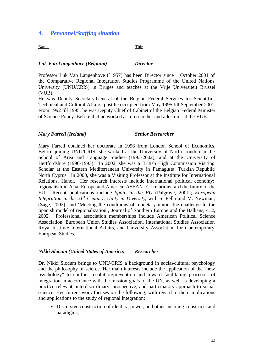### *4. Personnel/Staffing situation*

#### **Name Title**

#### *Luk Van Langenhove (Belgium) Director*

Professor Luk Van Langenhove (°1957) has been Director since 1 October 2001 of the Comparative Regional Integration Studies Programme of the United Nations University (UNU/CRIS) in Bruges and teaches at the Vrije Universiteit Brussel (VUB).

He was Deputy Secretary-General of the Belgian Federal Services for Scientific, Technical and Cultural Affairs, post he occupied from May 1995 till September 2001. From 1992 till 1995, he was Deputy Chief of Cabinet of the Belgian Federal Minister of Science Policy. Before that he worked as a researcher and a lecturer at the VUB.

#### *Mary Farrell (Ireland) Senior Researcher*

Mary Farrell obtained her doctorate in 1996 from London School of Economics. Before joining UNU/CRIS, she worked at the University of North London in the School of Area and Language Studies (1993-2002), and at the University of Hertfordshire (1990-1993). In 2002, she was a British High Commission Visiting Scholar at the Eastern Mediterranean University in Famagusta, Turkish Republic North Cyprus. In 2000, she was a Visiting Professor at the Institute for International Relations, Hanoi. Her research interests include international political economy; regionalism in Asia, Europe and America; ASEAN-EU relations; and the future of the EU. Recent publications include *Spain in the EU* (Palgrave, 2001); *European Integration in the 21st Century, Unity in Diversity*, with S. Fella and M. Newman, (Sage, 2002), and 'Meeting the conditions of monetary union, the challenge to the Spanish model of regionalization', Journal of Southern Europe and the Balkans, 4, 2, 2002. Professional association memberships include American Political Science Association, European Union Studies Association, International Studies Association Royal Institute International Affairs, and University Association for Contemporary European Studies.

#### *Nikki Slocum (United States of America) Researcher*

Dr. Nikki Slocum brings to UNU/CRIS a background in social-cultural psychology and the philosophy of science. Her main interests include the application of the "new psychology" to conflict resolution/prevention and toward facilitating processes of integration in accordance with the mission goals of the UN, as well as developing a practice-relevant, interdisciplinary, prospective, and participatory approach to social science. Her current work focuses on the following, with regard to their implications and applications to the study of regional integration:

 $\checkmark$  Discursive construction of identity, power, and other meaning-constructs and paradigms;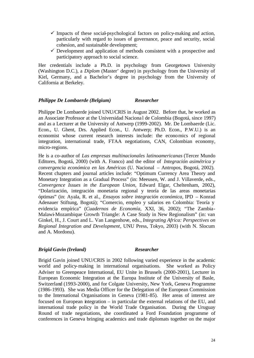- $\checkmark$  Impacts of these social-psychological factors on policy-making and action, particularly with regard to issues of governance, peace and security, social cohesion, and sustainable development;
- $\checkmark$  Development and application of methods consistent with a prospective and participatory approach to social science.

Her credentials include a Ph.D. in psychology from Georgetown University (Washington D.C.), a *Diplom* (Master' degree) in psychology from the University of Kiel, Germany, and a Bachelor's degree in psychology from the University of California at Berkeley.

#### *Philippe De Lombaerde (Belgium) Researcher*

Philippe De Lombaerde joined UNU/CRIS in August 2002. Before that, he worked as an Associate Professor at the Universidad Naciona l de Colombia (Bogotá, since 1997) and as a Lecturer at the University of Antwerp (1999-2002). Mr. De Lombaerde (Lic. Econ., U. Ghent, Drs. Applied Econ., U. Antwerp; Ph.D. Econ., P.W.U.) is an economist whose current research interests include: the economics of regional integration, international trade, FTAA negotiations, CAN, Colombian economy, micro-regions.

He is a co-author of *Las empresas multinacionales latinoamericanas* (Tercer Mundo Editores, Bogotá, 2000) (with A. Franco) and the editor of *Integración asimétrica y convergencia económica en las Américas* (U. Nacional – Antropos, Bogotá, 2002). Recent chapters and journal articles include: "Optimum Currency Area Theory and Monetary Integration as a Gradual Process" (in: Meeusen, W. and J. Villaverde, eds., *Convergence Issues in the European Union*, Edward Elgar, Cheltenham, 2002), "Dolarización, integración monetaria regional y teoría de las areas monetarias óptimas" (in: Ayala, R. et al., *Ensayos sobre integración económica*, IPD – Konrad Adenauer Stiftung, Bogotá); "Comercio, empleo y salarios en Colombia: Teoría y evidencia empírica" (*Cuadernos de Economía*, XXI, 36, 2002); "The Zambia-Malawi-Mozambique Growth Triangle: A Case Study in New Regionalism" (in: van Ginkel, H., J. Court and L. Van Langenhove, eds., *Integrating Africa: Perspectives on Regional Integration and Development*, UNU Press, Tokyo, 2003) (with N. Slocum and A. Mordonu).

#### *Brigid Gavin (Ireland) Researcher*

Brigid Gavin joined UNU/CRIS in 2002 following varied experience in the academic world and policy-making in international organisations. She worked as Policy Adviser to Greenpeace International, EU Unite in Brussels (2000-2001), Lecturer in European Economic Integration at the Europa Institute of the University of Basle, Switzerland (1993-2000), and for Colgate University, New York, Geneva Programme (1986-1993). She was Media Officer for the Delegation of the European Commission to the International Organisations in Geneva (1981-85). Her areas of interest are focused on European integration – in particular the external relations of the EU, and international trade policy in the World Trade Organisation. During the Uruguay Round of trade negotiations, she coordinated a Ford Foundation programme of conferences in Geneva bringing academics and trade diplomats together on the major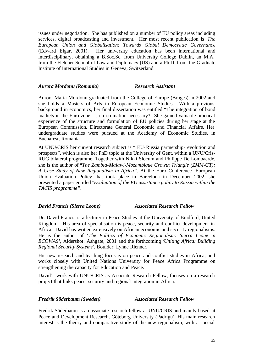issues under negotiation. She has published on a number of EU policy areas including services, digital broadcasting and investment. Her most recent publication is *The European Union and Globalisation: Towards Global Democratic Governance* (Edward Elgar, 2001). Her university education has been international and interdisciplinary, obtaining a B.Soc.Sc. from University College Dublin, an M.A. from the Fletcher School of Law and Diplomacy (US) and a Ph.D. from the Graduate Institute of International Studies in Geneva, Switzerland.

#### *Aurora Mordonu (Romania) Research Assistant*

Aurora Maria Mordonu graduated from the College of Europe (Bruges) in 2002 and she holds a Masters of Arts in European Economic Studies. With a previous background in economics, her final dissertation was entitled "The integration of bond markets in the Euro zone- is co-ordination necessary?" She gained valuable practical experience of the structure and formulation of EU policies during her stage at the European Commission, Directorate General Economic and Financial Affairs. Her undergraduate studies were pursued at the Academy of Economic Studies, in Bucharest, Romania.

At UNU/CRIS her current research subject is " EU-Russia partnership- evolution and prospects", which is also her PhD topic at the University of Gent, within a UNU/Cris-RUG bilateral programme. Together with Nikki Slocum and Philippe De Lombaerde, she is the author of **"***The Zambia-Malawi-Mozambique Growth Triangle (ZMM-GT): A Case Study of New Regionalism in Africa"*. At the Euro Conference- European Union Evaluation Policy that took place in Barcelona in December 2002, she presented a paper entitled "*Evaluation of the EU assistance policy to Russia within the TACIS programme"*.

#### *David Francis (Sierra Leone) Associated Research Fellow*

Dr. David Francis is a lecturer in Peace Studies at the University of Bradford, United Kingdom. His area of specialisation is peace, security and conflict development in Africa. David has written extensively on African economic and security regionalisms. He is the author of '*The Politics of Economic Regionalism: Sierra Leone in ECOWAS'*, Aldershot: Ashgate, 2001 and the forthcoming '*Uniting Africa: Building Regional Security Systems*', Boulder: Lynne Rienner.

His new research and teaching focus is on peace and conflict studies in Africa, and works closely with United Nations University for Peace Africa Programme on strengthening the capacity for Education and Peace.

David's work with UNU/CRIS as Associate Research Fellow, focuses on a research project that links peace, security and regional integration in Africa.

### *Fredrik Söderbaum (Sweden) Associated Research Fellow*

Fredrik Söderbaum is an associate research fellow at UNU/CRIS and mainly based at Peace and Development Research, Göteborg University (Padrigu). His main research interest is the theory and comparative study of the new regionalism, with a special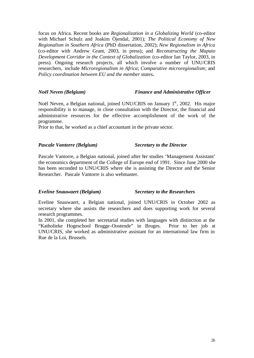focus on Africa. Recent books are *Regionalization in a Globalizing World* (co-editor with Michael Schulz and Joakim Öjendal, 2001); *The Political Economy of New Regionalism in Southern Africa* (PhD dissertation, 2002); *New Regionalism in Africa* (co-editor with Andrew Grant, 2003, in press); and *Reconstructing the Maputo Development Corridor in the Context of Globalization* (co-editor Ian Taylor, 2003, in press). Ongoing research projects, all which involve a number of UNU/CRIS researchers, include *Microregionalism in Africa*; *Comparative microregionalism*; and *Policy coordination between EU and the member states***.**

#### *Noël Neven (Belgium) Finance and Administrative Officer*

Noël Neven, a Belgian national, joined UNU/CRIS on January 1<sup>st</sup>, 2002. His major responsibility is to manage, in close consultation with the Director, the financial and administrative resources for the effective accomplishment of the work of the programme.

Prior to that, he worked as a chief accountant in the private sector.

#### *Pascale Vantorre (Belgium) Secretary to the Director*

Pascale Vantorre, a Belgian national, joined after her studies 'Management Assistant' the economics department of the College of Europe end of 1991. Since June 2000 she has been seconded to UNU/CRIS where she is assisting the Director and the Senior Researcher. Pascale Vantorre is also webmaster.

#### *Eveline Snauwaert (Belgium) Secretary to the Researchers*

Eveline Snauwaert, a Belgian national, joined UNU/CRIS in October 2002 as secretary where she assists the researchers and does supporting work for several research programmes.

In 2001, she completed her secretarial studies with languages with distinction at the "Katholieke Hogeschool Brugge-Oostende" in Bruges. Prior to her job at UNU/CRIS, she worked as administrative assistant for an international law firm in Rue de la Loi, Brussels.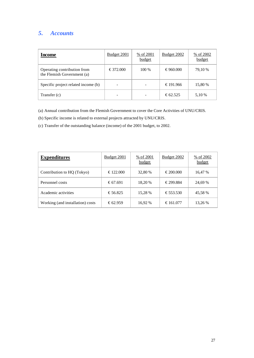# *5. Accounts*

| Income                                                    | <b>Budget 2001</b> | % of 2001<br>budget | Budget 2002 | $\frac{96}{6}$ of 2002<br>budget |
|-----------------------------------------------------------|--------------------|---------------------|-------------|----------------------------------|
| Operating contribution from<br>the Flemish Government (a) | €372.000           | $100\%$             | €960.000    | 79,10 %                          |
| Specific project related income (b)                       |                    |                     | €191.966    | 15,80 %                          |
| Transfer (c)                                              |                    |                     | €62.525     | 5,10 %                           |

(a) Annual contribution from the Flemish Government to cover the Core Activities of UNU/CRIS.

(b) Specific income is related to external projects attracted by UNU/CRIS.

(c) Transfer of the outstanding balance (income) of the 2001 budget, to 2002.

| <b>Expenditures</b>              | <b>Budget 2001</b> | % of 2001<br>budget | <b>Budget 2002</b> | $\frac{96}{6}$ of 2002<br>budget |
|----------------------------------|--------------------|---------------------|--------------------|----------------------------------|
| Contribution to HQ (Tokyo)       | €122.000           | 32,80 %             | €200.000           | 16,47 %                          |
| Personnel costs                  | € 67.691           | 18,20 %             | €299.884           | 24,69 %                          |
| Academic activities              | €56.825            | 15,28 %             | €553.530           | 45,58 %                          |
| Working (and installation) costs | € 62.959           | 16,92 %             | €161.077           | 13,26 %                          |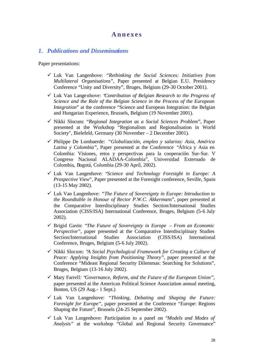### **Annexes**

#### *1. Publications and Disseminations*

Paper presentations:

- ¸ Luk Van Langenhove: *"Rethinking the Social Sciences: Initiatives from Multilateral Organisations*", Paper presented at Belgian E.U. Presidency Conference "Unity and Diversity", Bruges, Belgium (29-30 October 2001).
- ¸ Luk Van Langenhove: "*Contribution of Belgian Research to the Progress of Science and the Role of the Belgian Science in the Process of the European Integration*" at the conference "Science and European Integration: the Belgian and Hungarian Experience, Brussels, Belgium (19 November 2001).
- ¸ Nikki Slocum: "*Regional Integration as a Social Sciences Problem*", Paper presented at the Workshop "Regionalism and Regionalisation in World Society", Bielefeld, Germany (30 November – 2 December 2001).
- ¸ Philippe De Lombaerde: *"Globalización, empleo y salarios: Asia, América Latina y Colombia"*, Paper presented at the Conference "África y Asia en Colombia: Visiones, retos y perspectivas para la cooperación Sur-Sur. V Congreso Nacional ALADAA-Colombia", Universidad Externado de Colombia, Bogotá, Colombia (29-30 April, 2002).
- ¸ Luk Van Langenhove: "*Science and Technology Foresight in Europe: A Prospective View*", Paper presented at the Foresight conference, Seville, Spain (13-15 May 2002).
- ¸ Luk Van Langenhove: *"The Future of Sovereignty in Europe: Introduction to the Roundtable in Honour of Rector P.W.C. Akkermans*", paper presented at the Comparative Interdisciplinary Studies Section/International Studies Association (CISS/ISA) International Conference, Bruges, Belgium (5-6 July 2002).
- ¸ Brigid Gavin: "*The Future of Sovereignty in Europe From an Economic Perspective"*, paper presented at the Comparative Interdisciplinary Studies Section/International Studies Association (CISS/ISA) International Conference, Bruges, Belgium (5-6 July 2002).
- ¸ Nikki Slocum: "*A Social Psychological Framework for Creating a Culture of Peace: Applying Insights from Positioning Theory"*, paper presented at the Conference "Mideast Regional Security Dilemmas: Searching for Solutions", Bruges, Belgium (13-16 July 2002).
- ¸ Mary Farrell: "*Governance, Reform, and the Future of the European Union",*  paper presented at the American Political Science Association annual meeting, Boston, US (29 Aug.- 1 Sept.)
- ¸ Luk Van Langenhove: *"Thinking, Debating and Shaping the Future: Foresight for Europe"*, paper presented at the Conference "Europe: Regions Shaping the Future", Brussels (24-25 September 2002).
- ¸ Luk Van Langenhove: Participation to a panel on "*Models and Modes of Analysis"* at the workshop "Global and Regional Security Governance"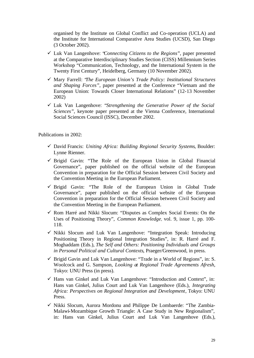organised by the Institute on Global Conflict and Co-operation (UCLA) and the Institute for International Comparative Area Studies (UCSD), San Diego (3 October 2002).

- ¸ Luk Van Langenhove: "*Connecting Citizens to the Regions*", paper presented at the Comparative Interdisciplinary Studies Section (CISS) Millennium Series Workshop "Communication, Technology, and the International System in the Twenty First Century", Heidelberg, Germany (10 November 2002).
- ¸ Mary Farrell: "*The European Union's Trade Policy: Institutional Structures and Shaping Forces"*, paper presented at the Conference "Vietnam and the European Union: Towards Closer International Relations" (12-13 November 2002)
- ¸ Luk Van Langenhove: "*Strengthening the Generative Power of the Social Sciences"*, keynote paper presented at the Vienna Conference, International Social Sciences Council (ISSC), December 2002.

Publications in 2002:

- ¸ David Francis: *Uniting Africa: Building Regional Security Systems*, Boulder: Lynne Rienner.
- $\checkmark$  Brigid Gavin: "The Role of the European Union in Global Financial Governance", paper published on the official website of the European Convention in preparation for the Official Session between Civil Society and the Convention Meeting in the European Parliament.
- $\checkmark$  Brigid Gavin: "The Role of the European Union in Global Trade Governance", paper published on the official website of the European Convention in preparation for the Official Session between Civil Society and the Convention Meeting in the European Parliament.
- $\checkmark$  Rom Harré and Nikki Slocum: "Disputes as Complex Social Events: On the Uses of Positioning Theory", *Common Knowledge*, vol. 9, issue 1, pp. 100- 118.
- $\checkmark$  Nikki Slocum and Luk Van Langenhove: "Integration Speak: Introducing Positioning Theory in Regional Integration Studies", in: R. Harré and F. Moghaddam (Eds.), *The Self and Others: Positioning Individuals and Groups in Personal Political and Cultural Contexts*, Praeger/Greenwood, in press.
- $\checkmark$  Brigid Gavin and Luk Van Langenhove: "Trade in a World of Regions", in: S. Woolcock and G. Sampson, *Looking at Regional Trade Agreements Afresh*, Tokyo: UNU Press (in press).
- $\checkmark$  Hans van Ginkel and Luk Van Langenhove: "Introduction and Context", in: Hans van Ginkel, Julius Court and Luk Van Langenhove (Eds.), *Integrating Africa: Perspectives on Regional Integration and Development*, Tokyo: UNU Press.
- $\checkmark$  Nikki Slocum, Aurora Mordonu and Philippe De Lombaerde: "The Zambia-Malawi-Mozambique Growth Triangle: A Case Study in New Regionalism", in: Hans van Ginkel, Julius Court and Luk Van Langenhove (Eds.),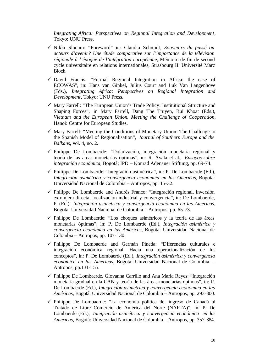*Integrating Africa: Perspectives on Regional Integration and Development*, Tokyo: UNU Press.

- ¸ Nikki Slocum: "Foreword" in: Claudia Schmidt, *Souvenirs du passé ou acteurs d'avenir? Une étude comparative sur l'importance de la télévision régionale à l'époque de l'intégration européenne*, Mémoire de fin de second cycle universitaire en relations internationales, Strasbourg II: Université Marc Bloch.
- $\checkmark$  David Francis: "Formal Regional Integration in Africa: the case of ECOWAS", in: Hans van Ginkel, Julius Court and Luk Van Langenhove (Eds.), *Integrating Africa: Perspectives on Regional Integration and Development*, Tokyo: UNU Press.
- $\checkmark$  Mary Farrell: "The European Union's Trade Policy: Institutional Structure and Shaping Forces", in Mary Farrell, Dang The Truyen, Bui Khoat (Eds.), *Vietnam and the European Union. Meeting the Challenge of Cooperation*, Hanoi: Centre for European Studies.
- $\checkmark$  Mary Farrell: "Meeting the Conditions of Monetary Union: The Challenge to the Spanish Model of Regionalisation", *Journal of Southern Europe and the Balkans*, vol. 4, no. 2.
- $\checkmark$  Philippe De Lombaerde: "Dolarización, integración monetaria regional y teoría de las areas monetarias óptimas", in: R. Ayala et al., *Ensayos sobre integración económica*, Bogotá: IPD – Konrad Adenauer Stiftung, pp. 69-74.
- $\checkmark$  Philippe De Lombaerde: 'Integración asimétrica'', in: P. De Lombaerde (Ed.), *Integración asimétrica y convergencia económica en las Américas*, Bogotá: Universidad Nacional de Colombia – Antropos, pp. 15-32.
- $\checkmark$  Philippe De Lombaerde and Andrés Franco: "Integración regional, inversión extranjera directa, localización industrial y convergencia", in: De Lombaerde, P. (Ed.), *Integración asimétrica y convergencia económica en las Américas*, Bogotá: Universidad Nacional de Colombia – Antropos, pp. 65-73.
- $\checkmark$  Philippe De Lombaerde: "Los choques asimétricos y la teoría de las áreas monetarias óptimas", in: P. De Lombaerde (Ed.), *Integración asimétrica y convergencia económica en las Américas*, Bogotá: Universidad Nacional de Colombia – Antropos, pp. 107-130.
- $\checkmark$  Philippe De Lombaerde and Germán Pineda: "Diferencias culturales e integración económica regional. Hacia una operacionalización de los conceptos", in: P. De Lombaerde (Ed.), *Integración asimétrica y convergencia económica en las Américas*, Bogotá: Universidad Nacional de Colombia – Antropos, pp.131-155.
- $\checkmark$  Philippe De Lombaerde, Giovanna Carrillo and Ana María Reyes: "Integración" monetaria gradual en la CAN y teoría de las áreas monetarias óptimas", in: P. De Lombaerde (Ed.), *Integración asimétrica y convergencia económica en las Américas*, Bogotá: Universidad Nacional de Colombia – Antropos, pp. 293-300.
- $\checkmark$  Philippe De Lombaerde: "La economía política del ingreso de Canadá al Tratado de Libre Comercio de América del Norte (NAFTA)", in: P. De Lombaerde (Ed.), *Integración asimétrica y convergencia económica en las Américas*, Bogotá: Universidad Nacional de Colombia – Antropos, pp. 357-384.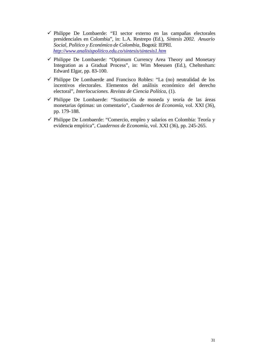- ¸ Philippe De Lombaerde: "El sector externo en las campañas electorales presidenciales en Colombia", in: L.A. Restrepo (Ed.), *Síntesis 2002. Anuario Social, Politico y Económico de Colombia*, Bogotá: IEPRI. *http://www.analisispolitico.edu.co/sintesis/sintesis1.htm*
- ¸ Philippe De Lombaerde: "Optimum Currency Area Theory and Monetary Integration as a Gradual Process", in: Wim Meeusen (Ed.), Cheltenham: Edward Elgar, pp. 83-100.
- $\checkmark$  Philippe De Lombaerde and Francisco Robles: "La (no) neutralidad de los incentivos electorales. Elementos del análisis económico del derecho electoral", *Interlocuciones. Revista de Ciencia Política*, (1).
- $\checkmark$  Philippe De Lombaerde: "Sustitución de moneda y teoría de las áreas monetarias óptimas: un comentario", *Cuadernos de Economía*, vol. XXI (36), pp. 179-188.
- $\checkmark$  Philippe De Lombaerde: "Comercio, empleo y salarios en Colombia: Teoría y evidencia empírica", *Cuadernos de Economía*, vol. XXI (36), pp. 245-265.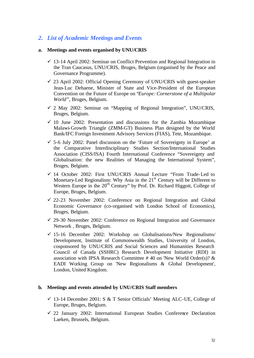# *2. List of Academic Meetings and Events*

#### **a. Meetings and events organised by UNU/CRIS**

- $\checkmark$  13-14 April 2002: Seminar on Conflict Prevention and Regional Integration in the Tran Caucasus, UNU/CRIS, Bruges, Belgium (organised by the Peace and Governance Programme).
- $\checkmark$  23 April 2002: Official Opening Ceremony of UNU/CRIS with guest-speaker Jean-Luc Dehaene, Minister of State and Vice-President of the European Convention on the Future of Europe on "*Europe: Cornerstone of a Multipolar World"*, Bruges, Belgium.
- $\checkmark$  2 May 2002: Seminar on "Mapping of Regional Integration", UNU/CRIS, Bruges, Belgium.
- $\checkmark$  10 June 2002: Presentation and discussions for the Zambia Mozambique Malawi-Growth Triangle (ZMM-GT) Business Plan designed by the World Bank/IFC Foreign Investment Advisory Services (FIAS), Tete, Mozambique.
- $\checkmark$  5-6 July 2002: Panel discussion on the 'Future of Sovereignty in Europe' at the Comparative Interdisciplinary Studies Section/International Studies Association (CISS/ISA) Fourth International Conference "Sovereignty and Globalisation: the new Realities of Managing the International System", Bruges, Belgium.
- $\checkmark$  14 October 2002: First UNU/CRIS Annual Lecture "From Trade-Led to Monetary-Led Regionalism: Why Asia in the  $21<sup>st</sup>$  Century will be Different to Western Europe in the 20<sup>th</sup> Century" by Prof. Dr. Richard Higgott, College of Europe, Bruges, Belgium.
- $\checkmark$  22-23 November 2002: Conference on Regional Integration and Global Economic Governance (co-organised with London School of Economics), Bruges, Belgium.
- $\checkmark$  29-30 November 2002: Conference on Regional Integration and Governance Network , Bruges, Belgium.
- $\checkmark$  15-16 December 2002: Workshop on Globalisations/New Regionalisms/ Development, Institute of Commonwealth Studies, University of London, cosponsored by UNU/CRIS and Social Sciences and Humanities Research Council of Canada (SSHRC) Research Development Initiative (RDI) in association with IPSA Research Committee #40 on 'New World Order(s)?  $\&$ EADI Working Group on 'New Regionalisms & Global Development', London, United Kingdom.

#### **b. Meetings and events attended by UNU/CRIS Staff members**

- $\checkmark$  13-14 December 2001: S & T Senior Officials' Meeting ALC-UE, College of Europe, Bruges, Belgium.
- $\checkmark$  22 January 2002: International European Studies Conference Declaration Laeken, Brussels, Belgium.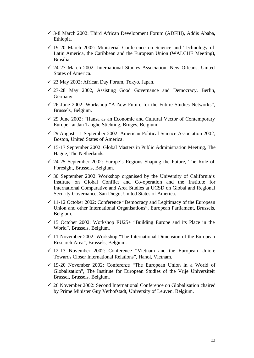- $\checkmark$  3-8 March 2002: Third African Development Forum (ADFIII), Addis Ababa, Ethiopia.
- $\checkmark$  19-20 March 2002: Ministerial Conference on Science and Technology of Latin America, the Caribbean and the European Union (WALCUE Meeting), Brasilia.
- $\checkmark$  24-27 March 2002: International Studies Association, New Orleans, United States of America.
- $\checkmark$  23 May 2002: African Day Forum, Tokyo, Japan.
- $\checkmark$  27-28 May 2002, Assisting Good Governance and Democracy, Berlin, Germany.
- $\checkmark$  26 June 2002: Workshop "A New Future for the Future Studies Networks", Brussels, Belgium.
- $\checkmark$  29 June 2002: "Hansa as an Economic and Cultural Vector of Contemporary Europe" at Jan Tanghe Stichting, Bruges, Belgium.
- $\checkmark$  29 August 1 September 2002: American Political Science Association 2002, Boston, United States of America.
- $\checkmark$  15-17 September 2002: Global Masters in Public Administration Meeting, The Hague, The Netherlands.
- $\checkmark$  24-25 September 2002: Europe's Regions Shaping the Future, The Role of Foresight, Brussels, Belgium.
- $\checkmark$  30 September 2002: Workshop organised by the University of California's Institute on Global Conflict and Co-operation and the Institute for International Comparative and Area Studies at UCSD on Global and Regional Security Governance, San Diego, United States of America.
- $\checkmark$  11-12 October 2002: Conference "Democracy and Legitimacy of the European Union and other International Organisations", European Parliament, Brussels, Belgium.
- $\checkmark$  15 October 2002: Workshop EU25+ "Building Europe and its Place in the World", Brussels, Belgium.
- $\checkmark$  11 November 2002: Workshop "The International Dimension of the European Research Area", Brussels, Belgium.
- $\checkmark$  12-13 November 2002: Conference "Vietnam and the European Union: Towards Closer International Relations", Hanoi, Vietnam.
- $\checkmark$  19-20 November 2002: Conference "The European Union in a World of Globalisation", The Institute for European Studies of the Vrije Universiteit Brussel, Brussels, Belgium.
- $\checkmark$  26 November 2002: Second International Conference on Globalisation chaired by Prime Minister Guy Verhofstadt, University of Leuven, Belgium.